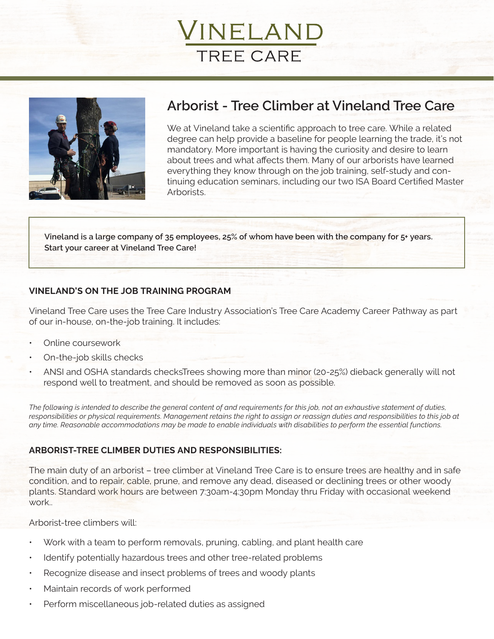



# **Arborist - Tree Climber at Vineland Tree Care**

We at Vineland take a scientific approach to tree care. While a related degree can help provide a baseline for people learning the trade, it's not mandatory. More important is having the curiosity and desire to learn about trees and what affects them. Many of our arborists have learned everything they know through on the job training, self-study and continuing education seminars, including our two ISA Board Certified Master Arborists.

**Vineland is a large company of 35 employees, 25% of whom have been with the company for 5+ years. Start your career at Vineland Tree Care!**

## **VINELAND'S ON THE JOB TRAINING PROGRAM**

Vineland Tree Care uses the Tree Care Industry Association's Tree Care Academy Career Pathway as part of our in-house, on-the-job training. It includes:

- Online coursework
- On-the-job skills checks
- ANSI and OSHA standards checksTrees showing more than minor (20-25%) dieback generally will not respond well to treatment, and should be removed as soon as possible.

*The following is intended to describe the general content of and requirements for this job, not an exhaustive statement of duties, responsibilities or physical requirements. Management retains the right to assign or reassign duties and responsibilities to this job at any time. Reasonable accommodations may be made to enable individuals with disabilities to perform the essential functions.*

### **ARBORIST-TREE CLIMBER DUTIES AND RESPONSIBILITIES:**

The main duty of an arborist – tree climber at Vineland Tree Care is to ensure trees are healthy and in safe condition, and to repair, cable, prune, and remove any dead, diseased or declining trees or other woody plants. Standard work hours are between 7:30am-4:30pm Monday thru Friday with occasional weekend work..

Arborist-tree climbers will:

- Work with a team to perform removals, pruning, cabling, and plant health care
- Identify potentially hazardous trees and other tree-related problems
- Recognize disease and insect problems of trees and woody plants
- Maintain records of work performed
- Perform miscellaneous job-related duties as assigned